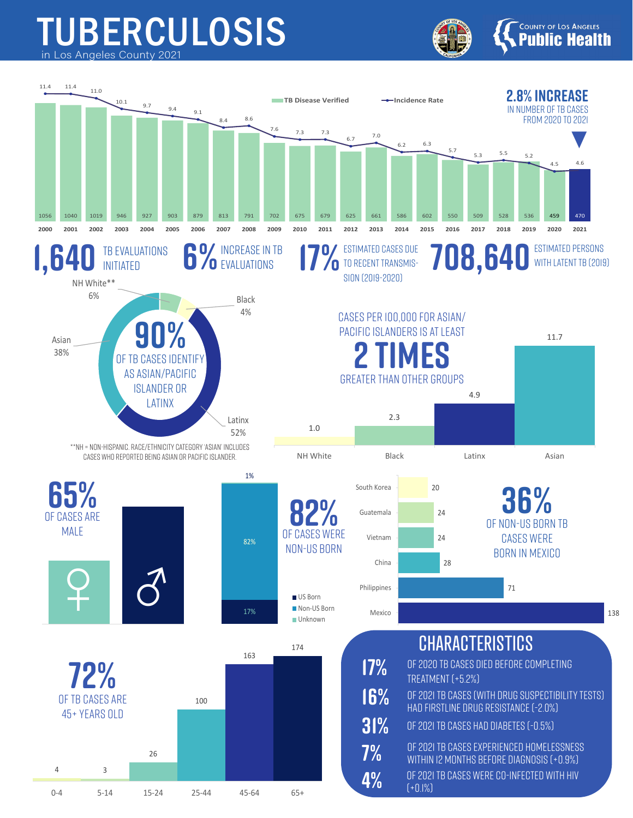## TUBERCULOSIS in Los Angeles County 2021